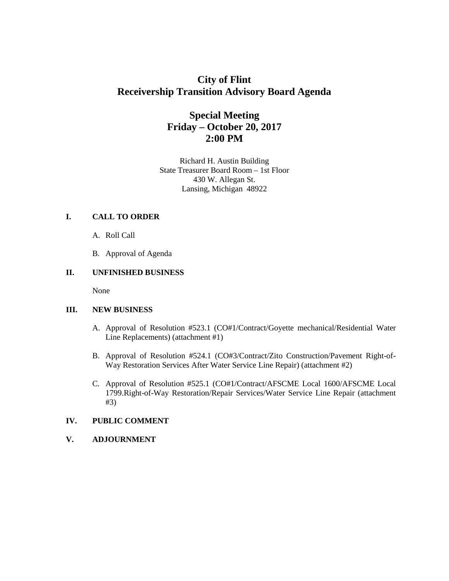# **City of Flint Receivership Transition Advisory Board Agenda**

# **Special Meeting Friday – October 20, 2017 2:00 PM**

Richard H. Austin Building State Treasurer Board Room – 1st Floor 430 W. Allegan St. Lansing, Michigan 48922

# **I. CALL TO ORDER**

- A. Roll Call
- B. Approval of Agenda

# **II. UNFINISHED BUSINESS**

None

## **III. NEW BUSINESS**

- A. Approval of Resolution #523.1 (CO#1/Contract/Goyette mechanical/Residential Water Line Replacements) (attachment #1)
- B. Approval of Resolution #524.1 (CO#3/Contract/Zito Construction/Pavement Right-of-Way Restoration Services After Water Service Line Repair) (attachment #2)
- C. Approval of Resolution #525.1 (CO#1/Contract/AFSCME Local 1600/AFSCME Local 1799.Right-of-Way Restoration/Repair Services/Water Service Line Repair (attachment #3)

## **IV. PUBLIC COMMENT**

**V. ADJOURNMENT**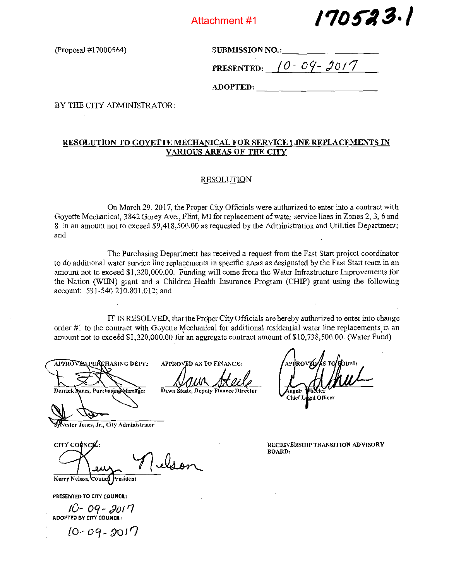Attachment #1



(Proposal #17000564)

SUBMISSION NO.:

PRESENTED:  $10 - 09 - 2017$ 

ADOPTED:

BY THE CITY ADMINISTRATOR:

## RESOLUTION TO GOYETTE MECHANICAL FOR SERVICE LINE REPLACEMENTS IN VARIOUS AREAS OF THE CITY

#### RESOLUTION

On March 29, 2017, the Proper City Officials were authorized to enter into <sup>a</sup> contract with Goyette Mechanical, 3842 Gorey Ave., Flint, MI for replacement of water service lines in Zones 2, 3, 6 and 8 in an amount not to exceed \$9,418,500.00 as requested by the Administration and Utilities Department; and

The Purchasing Department has received <sup>a</sup> request from the Fast Start project coordinator to do additional water service line replacements in specific areas as designated by the Fast Start team in an amount not to exceed \$1,320,000.00. Funding will come from the Water Infrastructure Improvements for the Nation (WIIN) grant and <sup>a</sup> Children Health Insurance Program (CHIP) grant using the following account: 591-540.210.801.012; and

IT IS RESOLVED, that the Proper City Officials are hereby authorized to enter into change order #1 to the contract with Goyette Mechanical for additional residential water line replacements in an amount not to exceed \$1,320,000.00 for an aggregate contract amount of \$10,738,500.00. (Water Fund)

APPROVER PURCHASING DEPT.: APPROVED AS TO FINANCE: Derrick Jones, Purchasing Hanager Dawn Steele, Deputy Finance Director

vester Jones, Jr., City Administrator

lelson

' APRROVEDZAS TO HORM Angela<br>Chief L gal Officer

RECEIVERSHIP TRANSJTION ADVISORY BOARD:

Kerry Nelson, Counch President

PRESENTED TO CITY COUNCIL:

CITY COUNCIL:

10 - 09 - *9*01 <sup>-</sup> 1 ADOPTED BY CITY COUNCIL:

 $10 - 09 - 2017$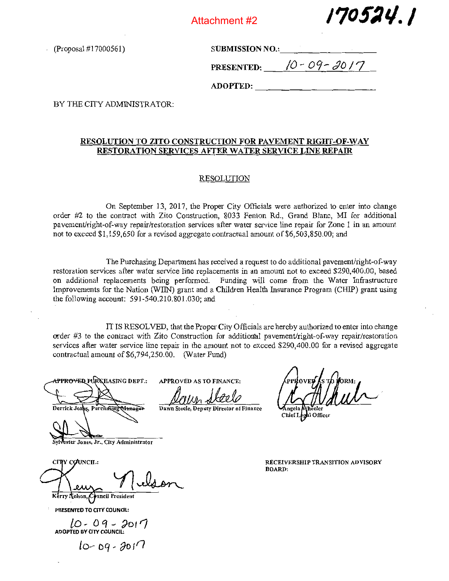

/7oflq. /

(Proposal #17000561) SUBMISSION NO.:\_\_\_\_\_\_\_\_\_\_\_\_\_\_\_\_\_\_\_\_\_\_\_\_

PRESENTED:  $10 - 09 - 30/7$ 

 $\bf \textbf{ADOPTED:}$ 

BY THE CITY ADMINISTRATOR

# RESOLUTION TO ZITO CONSTRUCTION FOR PAVEMENT RIGHT-OF-WAY RESTORATION SERVICES AFTER WATER SERVICE LINE REPAIR

#### RESOLUTION

On September 13, 2017, the Proper City Officials were authorized to enter into change order #2 to the contract with Zito Construction, 8033 Fenton Rd., Grand Blanc, MI for additional pavement/right-of-way repair/restoration services after water service line repair for Zone 1 in an amount not to exceed \$1,159,650 for <sup>a</sup> revised aggregate contractual amount of \$6,503,850.00; and

The Purchasing Department has received <sup>a</sup> request to do additional pavement/right-of-way restoration services after water service line replacements in an amount not to exceed \$290,400.00, based on additional replacements being performed. Funding will come from the Water Infrastructure Improvements for the Nation (WIN) grant and <sup>a</sup> Children Health Insurance Program (CHIP) grant using the following account: 591-540.210.801.030; and

IT IS RESOLVED, that the Proper City Officials are hereby authorized to enter into change order  $#3$  to the contract with Zito Construction for additional pavement/right-of-way repair/restoration services after water service line repair in the amount not to exceed \$290,400.00 for <sup>a</sup> revised aggregate contractual amount of \$6,794,250.00. (Water Fund)

<del>\PPROVED</del> PURKHASING DEPT.:

Derrick Jor

APPROVED AS TO FINANCE: Devin ~kt2

Dawn Steele, Deputy Director of Finance Angela Wheeler

Chief Legal Officer

ester Jones, Jr., City Administrator

CITY COUNCIL: 1, Council Preside

PRESENTED TO CITY COUNCIL:

 $10 - 09 - 201'$ <br>ADOPTED BY CITY COUNCIL:

 $10 - D9 - 3017$ 

RECEIVERSHIP TRANSITION ADvISoRy BOARD: